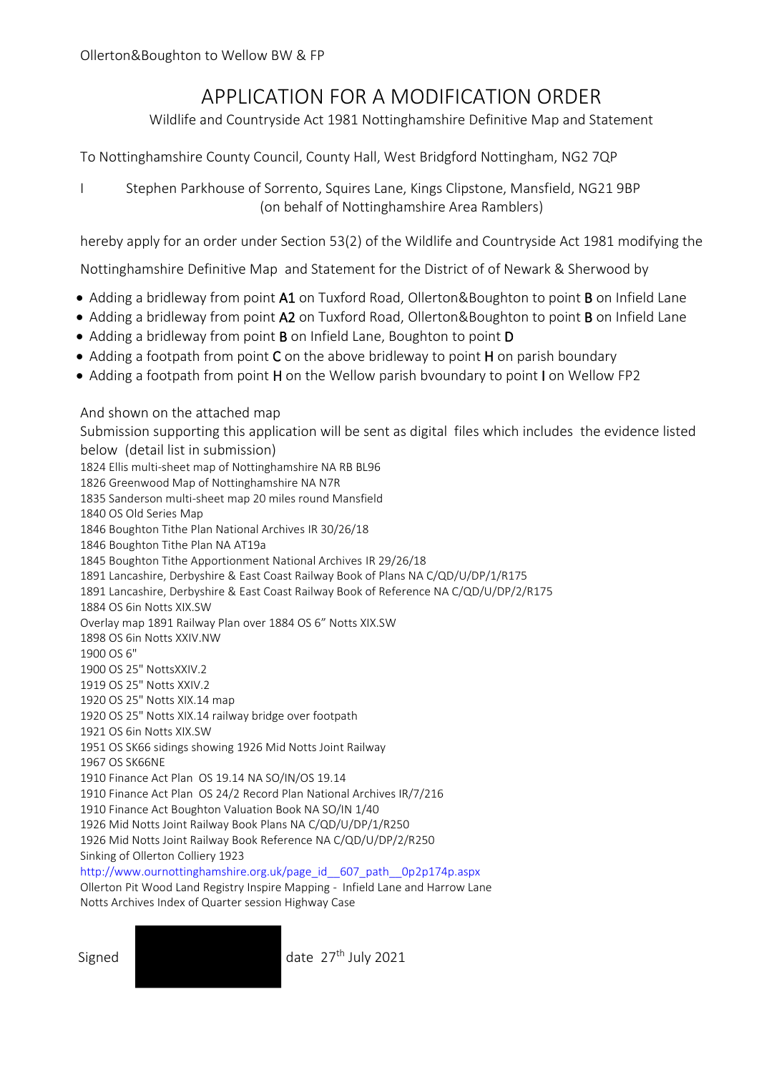## APPLICATION FOR A MODIFICATION ORDER

Wildlife and Countryside Act 1981 Nottinghamshire Definitive Map and Statement

To Nottinghamshire County Council, County Hall, West Bridgford Nottingham, NG2 7QP

I Stephen Parkhouse of Sorrento, Squires Lane, Kings Clipstone, Mansfield, NG21 9BP (on behalf of Nottinghamshire Area Ramblers)

hereby apply for an order under Section 53(2) of the Wildlife and Countryside Act 1981 modifying the

Nottinghamshire Definitive Map and Statement for the District of of Newark & Sherwood by

- Adding a bridleway from point A1 on Tuxford Road, Ollerton&Boughton to point B on Infield Lane
- Adding a bridleway from point A2 on Tuxford Road, Ollerton&Boughton to point B on Infield Lane
- Adding a bridleway from point B on Infield Lane, Boughton to point D
- Adding a footpath from point C on the above bridleway to point H on parish boundary
- Adding a footpath from point H on the Wellow parish bvoundary to point I on Wellow FP2

And shown on the attached map

Submission supporting this application will be sent as digital files which includes the evidence listed below (detail list in submission)

1824 Ellis multi-sheet map of Nottinghamshire NA RB BL96 1826 Greenwood Map of Nottinghamshire NA N7R 1835 Sanderson multi-sheet map 20 miles round Mansfield 1840 OS Old Series Map 1846 Boughton Tithe Plan National Archives IR 30/26/18 1846 Boughton Tithe Plan NA AT19a 1845 Boughton Tithe Apportionment National Archives IR 29/26/18 1891 Lancashire, Derbyshire & East Coast Railway Book of Plans NA C/QD/U/DP/1/R175 1891 Lancashire, Derbyshire & East Coast Railway Book of Reference NA C/QD/U/DP/2/R175 1884 OS 6in Notts XIX.SW Overlay map 1891 Railway Plan over 1884 OS 6" Notts XIX.SW 1898 OS 6in Notts XXIV.NW 1900 OS 6" 1900 OS 25" NottsXXIV.2 1919 OS 25" Notts XXIV.2 1920 OS 25" Notts XIX.14 map 1920 OS 25" Notts XIX.14 railway bridge over footpath 1921 OS 6in Notts XIX.SW 1951 OS SK66 sidings showing 1926 Mid Notts Joint Railway 1967 OS SK66NE 1910 Finance Act Plan OS 19.14 NA SO/IN/OS 19.14 1910 Finance Act Plan OS 24/2 Record Plan National Archives IR/7/216 1910 Finance Act Boughton Valuation Book NA SO/IN 1/40 1926 Mid Notts Joint Railway Book Plans NA C/QD/U/DP/1/R250 1926 Mid Notts Joint Railway Book Reference NA C/QD/U/DP/2/R250 Sinking of Ollerton Colliery 1923 [http://www.ournottinghamshire.org.uk/page\\_id\\_\\_607\\_path\\_\\_0p2p174p.aspx](http://www.ournottinghamshire.org.uk/page_id__607_path__0p2p174p.aspx) Ollerton Pit Wood Land Registry Inspire Mapping - Infield Lane and Harrow Lane

Notts Archives Index of Quarter session Highway Case

Signed date 27<sup>th</sup> July 2021